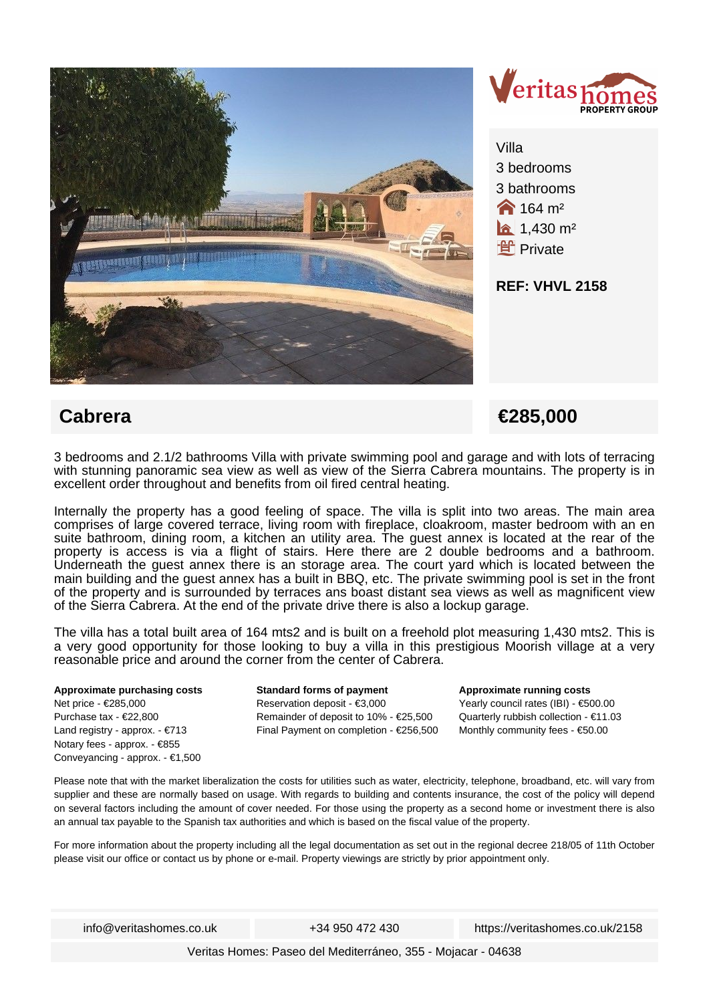

 **Cabrera €285,000**

3 bedrooms and 2.1/2 bathrooms Villa with private swimming pool and garage and with lots of terracing with stunning panoramic sea view as well as view of the Sierra Cabrera mountains. The property is in excellent order throughout and benefits from oil fired central heating.

Internally the property has a good feeling of space. The villa is split into two areas. The main area comprises of large covered terrace, living room with fireplace, cloakroom, master bedroom with an en suite bathroom, dining room, a kitchen an utility area. The guest annex is located at the rear of the property is access is via a flight of stairs. Here there are 2 double bedrooms and a bathroom. Underneath the guest annex there is an storage area. The court yard which is located between the main building and the guest annex has a built in BBQ, etc. The private swimming pool is set in the front of the property and is surrounded by terraces ans boast distant sea views as well as magnificent view of the Sierra Cabrera. At the end of the private drive there is also a lockup garage.

The villa has a total built area of 164 mts2 and is built on a freehold plot measuring 1,430 mts2. This is a very good opportunity for those looking to buy a villa in this prestigious Moorish village at a very reasonable price and around the corner from the center of Cabrera.

**Approximate purchasing costs** Net price - €285,000 Purchase tax - €22,800 Land registry - approx. - €713 Notary fees - approx. - €855 Conveyancing - approx. - €1,500 **Standard forms of payment** Reservation deposit - €3,000 Remainder of deposit to 10% - €25,500 Final Payment on completion - €256,500 **Approximate running costs** Yearly council rates (IBI) - €500.00 Quarterly rubbish collection - €11.03 Monthly community fees - €50.00

Please note that with the market liberalization the costs for utilities such as water, electricity, telephone, broadband, etc. will vary from supplier and these are normally based on usage. With regards to building and contents insurance, the cost of the policy will depend on several factors including the amount of cover needed. For those using the property as a second home or investment there is also an annual tax payable to the Spanish tax authorities and which is based on the fiscal value of the property.

For more information about the property including all the legal documentation as set out in the regional decree 218/05 of 11th October please visit our office or contact us by phone or e-mail. Property viewings are strictly by prior appointment only.

info@veritashomes.co.uk +34 950 472 430 https://veritashomes.co.uk/2158

Veritas Homes: Paseo del Mediterráneo, 355 - Mojacar - 04638